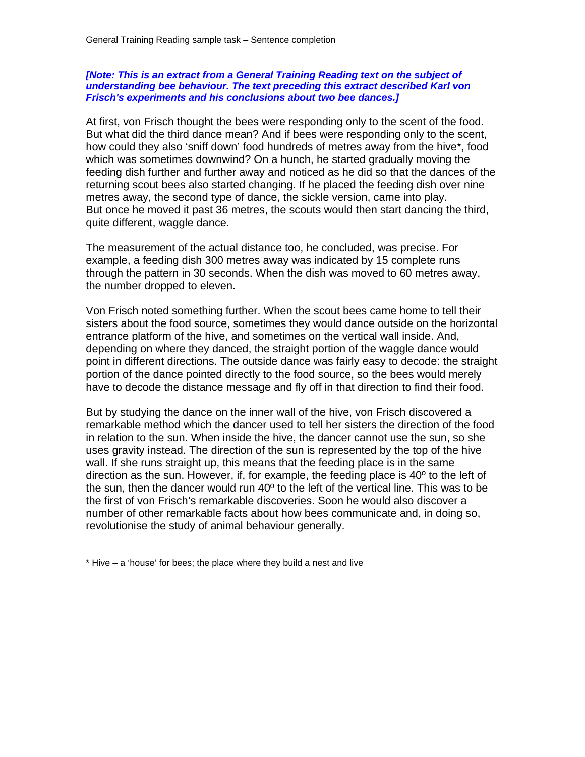## *[Note: This is an extract from a General Training Reading text on the subject of understanding bee behaviour. The text preceding this extract described Karl von Frisch's experiments and his conclusions about two bee dances.]*

At first, von Frisch thought the bees were responding only to the scent of the food. But what did the third dance mean? And if bees were responding only to the scent, how could they also 'sniff down' food hundreds of metres away from the hive\*, food which was sometimes downwind? On a hunch, he started gradually moving the feeding dish further and further away and noticed as he did so that the dances of the returning scout bees also started changing. If he placed the feeding dish over nine metres away, the second type of dance, the sickle version, came into play. But once he moved it past 36 metres, the scouts would then start dancing the third, quite different, waggle dance.

The measurement of the actual distance too, he concluded, was precise. For example, a feeding dish 300 metres away was indicated by 15 complete runs through the pattern in 30 seconds. When the dish was moved to 60 metres away, the number dropped to eleven.

Von Frisch noted something further. When the scout bees came home to tell their sisters about the food source, sometimes they would dance outside on the horizontal entrance platform of the hive, and sometimes on the vertical wall inside. And, depending on where they danced, the straight portion of the waggle dance would point in different directions. The outside dance was fairly easy to decode: the straight portion of the dance pointed directly to the food source, so the bees would merely have to decode the distance message and fly off in that direction to find their food.

But by studying the dance on the inner wall of the hive, von Frisch discovered a remarkable method which the dancer used to tell her sisters the direction of the food in relation to the sun. When inside the hive, the dancer cannot use the sun, so she uses gravity instead. The direction of the sun is represented by the top of the hive wall. If she runs straight up, this means that the feeding place is in the same direction as the sun. However, if, for example, the feeding place is 40º to the left of the sun, then the dancer would run  $40^{\circ}$  to the left of the vertical line. This was to be the first of von Frisch's remarkable discoveries. Soon he would also discover a number of other remarkable facts about how bees communicate and, in doing so, revolutionise the study of animal behaviour generally.

\* Hive – a 'house' for bees; the place where they build a nest and live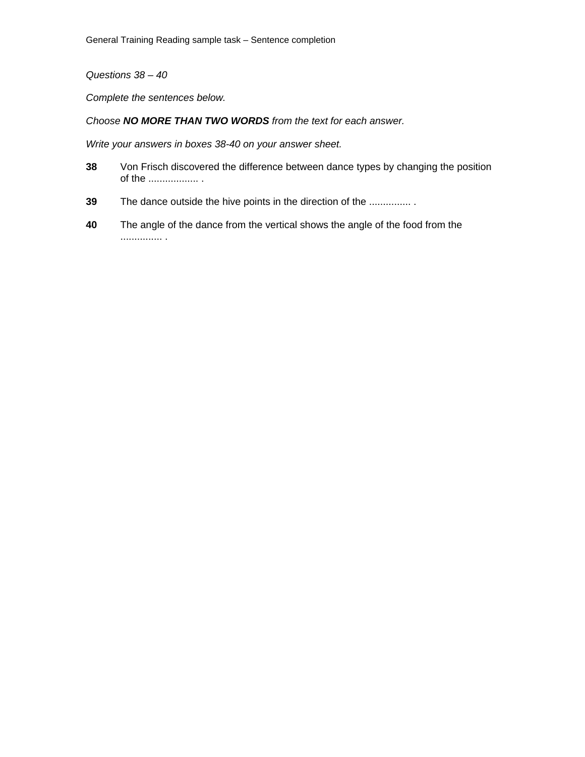General Training Reading sample task – Sentence completion

*Questions 38 – 40* 

*Complete the sentences below.* 

*Choose NO MORE THAN TWO WORDS from the text for each answer.* 

*Write your answers in boxes 38-40 on your answer sheet.* 

- **38** Von Frisch discovered the difference between dance types by changing the position of the .................. .
- **39** The dance outside the hive points in the direction of the ................
- **40** The angle of the dance from the vertical shows the angle of the food from the ............... .